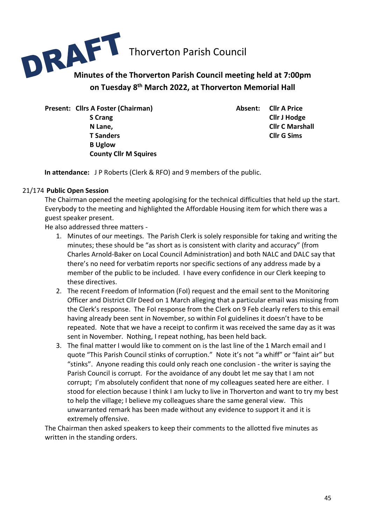

**on Tuesday 8 th March 2022, at Thorverton Memorial Hall**

Present: Cllrs A Foster (Chairman) **Absent: Cllr A Price S Crang Cllr J Hodge T Sanders Cllr G Sims B Uglow County Cllr M Squires** 

**N Lane, Client C Marshall** *N* Lane,

**In attendance:** J P Roberts (Clerk & RFO) and 9 members of the public.

## 21/174 **Public Open Session**

The Chairman opened the meeting apologising for the technical difficulties that held up the start. Everybody to the meeting and highlighted the Affordable Housing item for which there was a guest speaker present.

He also addressed three matters -

- 1. Minutes of our meetings. The Parish Clerk is solely responsible for taking and writing the minutes; these should be "as short as is consistent with clarity and accuracy" (from Charles Arnold-Baker on Local Council Administration) and both NALC and DALC say that there's no need for verbatim reports nor specific sections of any address made by a member of the public to be included. I have every confidence in our Clerk keeping to these directives.
- 2. The recent Freedom of Information (FoI) request and the email sent to the Monitoring Officer and District Cllr Deed on 1 March alleging that a particular email was missing from the Clerk's response. The FoI response from the Clerk on 9 Feb clearly refers to this email having already been sent in November, so within FoI guidelines it doesn't have to be repeated. Note that we have a receipt to confirm it was received the same day as it was sent in November. Nothing, I repeat nothing, has been held back.
- 3. The final matter I would like to comment on is the last line of the 1 March email and I quote "This Parish Council stinks of corruption." Note it's not "a whiff" or "faint air" but "stinks". Anyone reading this could only reach one conclusion - the writer is saying the Parish Council is corrupt. For the avoidance of any doubt let me say that I am not corrupt; I'm absolutely confident that none of my colleagues seated here are either. I stood for election because I think I am lucky to live in Thorverton and want to try my best to help the village; I believe my colleagues share the same general view. This unwarranted remark has been made without any evidence to support it and it is extremely offensive.

The Chairman then asked speakers to keep their comments to the allotted five minutes as written in the standing orders.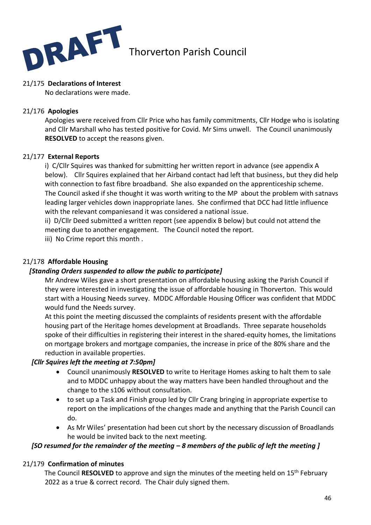

## 21/175 **Declarations of Interest**

No declarations were made.

## 21/176 **Apologies**

Apologies were received from Cllr Price who has family commitments, Cllr Hodge who is isolating and Cllr Marshall who has tested positive for Covid. Mr Sims unwell. The Council unanimously **RESOLVED** to accept the reasons given.

## 21/177 **External Reports**

i) C/Cllr Squires was thanked for submitting her written report in advance (see appendix A below). Cllr Squires explained that her Airband contact had left that business, but they did help with connection to fast fibre broadband. She also expanded on the apprenticeship scheme. The Council asked if she thought it was worth writing to the MP about the problem with satnavs leading larger vehicles down inappropriate lanes. She confirmed that DCC had little influence with the relevant companiesand it was considered a national issue.

ii) D/Cllr Deed submitted a written report (see appendix B below) but could not attend the meeting due to another engagement. The Council noted the report.

iii) No Crime report this month .

## 21/178 **Affordable Housing**

## *[Standing Orders suspended to allow the public to participate]*

Mr Andrew Wiles gave a short presentation on affordable housing asking the Parish Council if they were interested in investigating the issue of affordable housing in Thorverton. This would start with a Housing Needs survey. MDDC Affordable Housing Officer was confident that MDDC would fund the Needs survey.

At this point the meeting discussed the complaints of residents present with the affordable housing part of the Heritage homes development at Broadlands. Three separate households spoke of their difficulties in registering their interest in the shared-equity homes, the limitations on mortgage brokers and mortgage companies, the increase in price of the 80% share and the reduction in available properties.

## *[Cllr Squires left the meeting at 7:50pm]*

- Council unanimously **RESOLVED** to write to Heritage Homes asking to halt them to sale and to MDDC unhappy about the way matters have been handled throughout and the change to the s106 without consultation.
- to set up a Task and Finish group led by Cllr Crang bringing in appropriate expertise to report on the implications of the changes made and anything that the Parish Council can do.
- As Mr Wiles' presentation had been cut short by the necessary discussion of Broadlands he would be invited back to the next meeting.

## *[SO resumed for the remainder of the meeting – 8 members of the public of left the meeting ]*

## 21/179 **Confirmation of minutes**

The Council RESOLVED to approve and sign the minutes of the meeting held on 15<sup>th</sup> February 2022 as a true & correct record. The Chair duly signed them.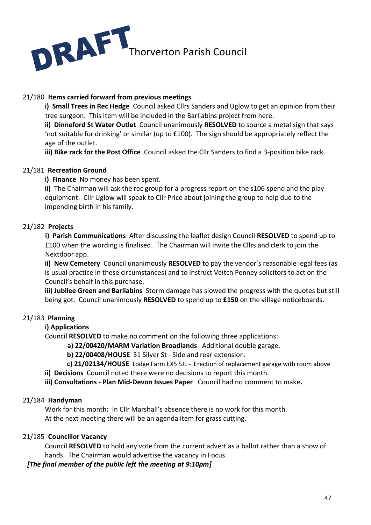

## 21/180 **Items carried forward from previous meetings**

**i) Small Trees in Rec Hedge** Council asked Cllrs Sanders and Uglow to get an opinion from their tree surgeon. This item will be included in the Barliabins project from here.

**ii) Dinneford St Water Outlet** Council unanimously **RESOLVED** to source a metal sign that says 'not suitable for drinking' or similar (up to £100). The sign should be appropriately reflect the age of the outlet.

**iii) Bike rack for the Post Office** Council asked the Cllr Sanders to find a 3-position bike rack.

## 21/181 **Recreation Ground**

**i) Finance** No money has been spent.

**ii)** The Chairman will ask the rec group for a progress report on the s106 spend and the play equipment. Cllr Uglow will speak to Cllr Price about joining the group to help due to the impending birth in his family.

## 21/182 **Projects**

**i) Parish Communications** After discussing the leaflet design Council **RESOLVED** to spend up to £100 when the wording is finalised. The Chairman will invite the Cllrs and clerk to join the Nextdoor app.

**ii) New Cemetery** Council unanimously **RESOLVED** to pay the vendor's reasonable legal fees (as is usual practice in these circumstances) and to instruct Veitch Penney solicitors to act on the Council's behalf in this purchase.

**iii) Jubilee Green and Barliabins** Storm damage has slowed the progress with the quotes but still being got.Council unanimously **RESOLVED** to spend up to **£150** on the village noticeboards.

## 21/183 **Planning**

### **i) Applications**

Council **RESOLVED** to make no comment on the following three applications:

**a) 22/00420/MARM Variation Broadlands** Additional double garage.

 **b) 22/00408/HOUSE** 31 Silver St - Side and rear extension.

 **c) 21/02134/HOUSE** Lodge Farm EX5 5JL - Erection of replacement garage with room above

**ii) Decisions** Council noted there were no decisions to report this month.

**iii) Consultations - Plan Mid-Devon Issues Paper** Council had no comment to make**.**

### 21/184 **Handyman**

Work for this month**:** In Cllr Marshall's absence there is no work for this month. At the next meeting there will be an agenda item for grass cutting.

## 21/185 **Councillor Vacancy**

Council **RESOLVED** to hold any vote from the current advert as a ballot rather than a show of hands. The Chairman would advertise the vacancy in Focus.

*[The final member of the public left the meeting at 9:10pm]*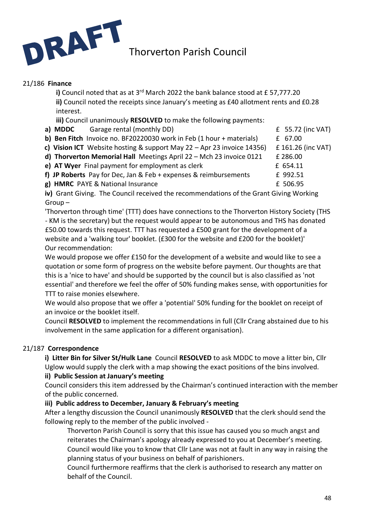

## 21/186 **Finance**

i) Council noted that as at 3<sup>rd</sup> March 2022 the bank balance stood at £ 57,777.20 **ii)** Council noted the receipts since January's meeting as £40 allotment rents and £0.28 interest.

**iii)** Council unanimously **RESOLVED** to make the following payments:

- **a) MDDC** Garage rental (monthly DD) **E** 55.72 (inc VAT)
- **b) Ben Fitch** Invoice no. BF20220030 work in Feb (1 hour + materials) £ 67.00 **c) Vision ICT** Website hosting & support May 22 – Apr 23 invoice 14356) £ 161.26 (inc VAT)
- **d) Thorverton Memorial Hall** Meetings April 22 Mch 23 invoice 0121 £ 286.00
- **e) AT Wyer** Final payment for employment as clerk **E** 654.11
- **f) JP Roberts** Pay for Dec. Jan & Feb + expenses & reimbursements f 992.51

**g) HMRC** PAYE & National Insurance **E** 506.95

**iv)** Grant Giving. The Council received the recommendations of the Grant Giving Working Group –

'Thorverton through time' (TTT) does have connections to the Thorverton History Society (THS - KM is the secretary) but the request would appear to be autonomous and THS has donated £50.00 towards this request. TTT has requested a £500 grant for the development of a website and a 'walking tour' booklet. (£300 for the website and £200 for the booklet)' Our recommendation:

We would propose we offer £150 for the development of a website and would like to see a quotation or some form of progress on the website before payment. Our thoughts are that this is a 'nice to have' and should be supported by the council but is also classified as 'not essential' and therefore we feel the offer of 50% funding makes sense, with opportunities for TTT to raise monies elsewhere.

We would also propose that we offer a 'potential' 50% funding for the booklet on receipt of an invoice or the booklet itself.

Council **RESOLVED** to implement the recommendations in full (Cllr Crang abstained due to his involvement in the same application for a different organisation).

## 21/187 **Correspondence**

**i) Litter Bin for Silver St/Hulk Lane** Council **RESOLVED** to ask MDDC to move a litter bin, Cllr Uglow would supply the clerk with a map showing the exact positions of the bins involved.

## **ii) Public Session at January's meeting**

Council considers this item addressed by the Chairman's continued interaction with the member of the public concerned.

## **iii) Public address to December, January & February's meeting**

After a lengthy discussion the Council unanimously **RESOLVED** that the clerk should send the following reply to the member of the public involved -

Thorverton Parish Council is sorry that this issue has caused you so much angst and reiterates the Chairman's apology already expressed to you at December's meeting. Council would like you to know that Cllr Lane was not at fault in any way in raising the planning status of your business on behalf of parishioners.

Council furthermore reaffirms that the clerk is authorised to research any matter on behalf of the Council.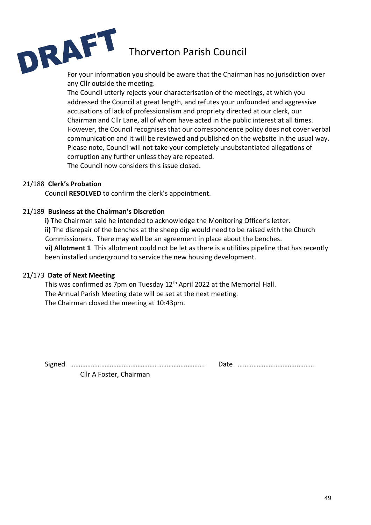For your information you should be aware that the Chairman has no jurisdiction over any Cllr outside the meeting.

> The Council utterly rejects your characterisation of the meetings, at which you addressed the Council at great length, and refutes your unfounded and aggressive accusations of lack of professionalism and propriety directed at our clerk, our Chairman and Cllr Lane, all of whom have acted in the public interest at all times. However, the Council recognises that our correspondence policy does not cover verbal communication and it will be reviewed and published on the website in the usual way. Please note, Council will not take your completely unsubstantiated allegations of corruption any further unless they are repeated. The Council now considers this issue closed.

## 21/188 **Clerk's Probation**

Council **RESOLVED** to confirm the clerk's appointment.

## 21/189 **Business at the Chairman's Discretion**

**i)** The Chairman said he intended to acknowledge the Monitoring Officer's letter. **ii)** The disrepair of the benches at the sheep dip would need to be raised with the Church Commissioners. There may well be an agreement in place about the benches. **vi) Allotment 1** This allotment could not be let as there is a utilities pipeline that has recently been installed underground to service the new housing development.

### 21/173 **Date of Next Meeting**

This was confirmed as 7pm on Tuesday  $12<sup>th</sup>$  April 2022 at the Memorial Hall. The Annual Parish Meeting date will be set at the next meeting. The Chairman closed the meeting at 10:43pm.

Signed …………………………………………………………..………. Date ……………………………..………

| Date |  |
|------|--|
|      |  |

Cllr A Foster, Chairman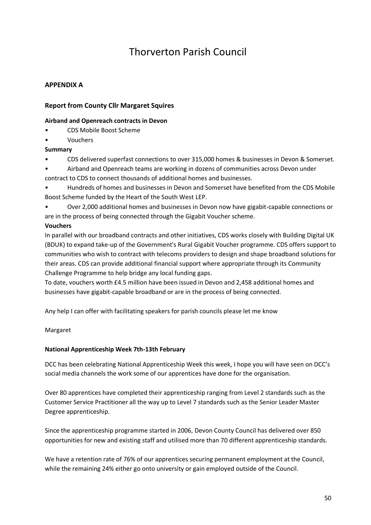## **APPENDIX A**

## **Report from County Cllr Margaret Squires**

### **Airband and Openreach contracts in Devon**

- CDS Mobile Boost Scheme
- Vouchers

## **Summary**

- CDS delivered superfast connections to over 315,000 homes & businesses in Devon & Somerset.
- Airband and Openreach teams are working in dozens of communities across Devon under contract to CDS to connect thousands of additional homes and businesses.
- Hundreds of homes and businesses in Devon and Somerset have benefited from the CDS Mobile Boost Scheme funded by the Heart of the South West LEP.
- Over 2,000 additional homes and businesses in Devon now have gigabit-capable connections or are in the process of being connected through the Gigabit Voucher scheme.

### **Vouchers**

In parallel with our broadband contracts and other initiatives, CDS works closely with Building Digital UK (BDUK) to expand take-up of the Government's Rural Gigabit Voucher programme. CDS offers support to communities who wish to contract with telecoms providers to design and shape broadband solutions for their areas. CDS can provide additional financial support where appropriate through its Community Challenge Programme to help bridge any local funding gaps.

To date, vouchers worth £4.5 million have been issued in Devon and 2,458 additional homes and businesses have gigabit-capable broadband or are in the process of being connected.

Any help I can offer with facilitating speakers for parish councils please let me know

Margaret

### **National Apprenticeship Week 7th-13th February**

DCC has been celebrating National Apprenticeship Week this week, I hope you will have seen on DCC's social media channels the work some of our apprentices have done for the organisation.

Over 80 apprentices have completed their apprenticeship ranging from Level 2 standards such as the Customer Service Practitioner all the way up to Level 7 standards such as the Senior Leader Master Degree apprenticeship.

Since the apprenticeship programme started in 2006, Devon County Council has delivered over 850 opportunities for new and existing staff and utilised more than 70 different apprenticeship standards.

We have a retention rate of 76% of our apprentices securing permanent employment at the Council, while the remaining 24% either go onto university or gain employed outside of the Council.